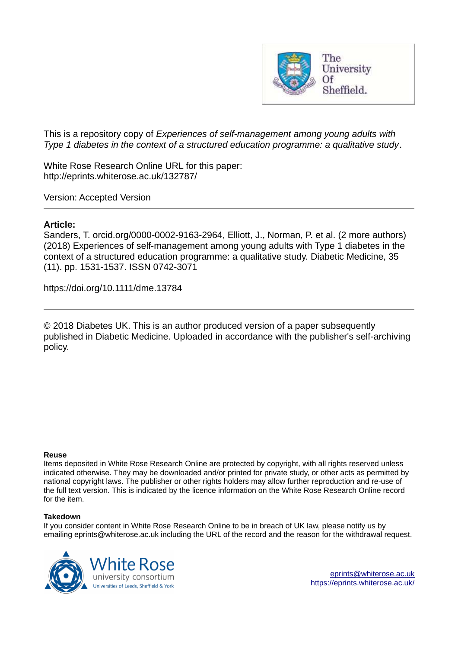

This is a repository copy of *Experiences of self-management among young adults with Type 1 diabetes in the context of a structured education programme: a qualitative study*.

White Rose Research Online URL for this paper: http://eprints.whiterose.ac.uk/132787/

Version: Accepted Version

# **Article:**

Sanders, T. orcid.org/0000-0002-9163-2964, Elliott, J., Norman, P. et al. (2 more authors) (2018) Experiences of self-management among young adults with Type 1 diabetes in the context of a structured education programme: a qualitative study. Diabetic Medicine, 35 (11). pp. 1531-1537. ISSN 0742-3071

https://doi.org/10.1111/dme.13784

© 2018 Diabetes UK. This is an author produced version of a paper subsequently published in Diabetic Medicine. Uploaded in accordance with the publisher's self-archiving policy.

# **Reuse**

Items deposited in White Rose Research Online are protected by copyright, with all rights reserved unless indicated otherwise. They may be downloaded and/or printed for private study, or other acts as permitted by national copyright laws. The publisher or other rights holders may allow further reproduction and re-use of the full text version. This is indicated by the licence information on the White Rose Research Online record for the item.

# **Takedown**

If you consider content in White Rose Research Online to be in breach of UK law, please notify us by emailing eprints@whiterose.ac.uk including the URL of the record and the reason for the withdrawal request.

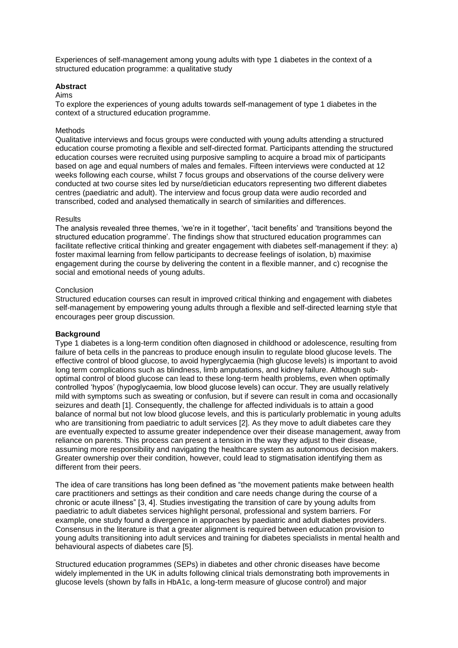Experiences of self-management among young adults with type 1 diabetes in the context of a structured education programme: a qualitative study

## **Abstract**

#### Aims

To explore the experiences of young adults towards self-management of type 1 diabetes in the context of a structured education programme.

# Methods

Qualitative interviews and focus groups were conducted with young adults attending a structured education course promoting a flexible and self-directed format. Participants attending the structured education courses were recruited using purposive sampling to acquire a broad mix of participants based on age and equal numbers of males and females. Fifteen interviews were conducted at 12 weeks following each course, whilst 7 focus groups and observations of the course delivery were conducted at two course sites led by nurse/dietician educators representing two different diabetes centres (paediatric and adult). The interview and focus group data were audio recorded and transcribed, coded and analysed thematically in search of similarities and differences.

#### **Results**

The analysis revealed three themes, 'we're in it together', 'tacit benefits' and 'transitions beyond the structured education programme'. The findings show that structured education programmes can facilitate reflective critical thinking and greater engagement with diabetes self-management if they: a) foster maximal learning from fellow participants to decrease feelings of isolation, b) maximise engagement during the course by delivering the content in a flexible manner, and c) recognise the social and emotional needs of young adults.

## Conclusion

Structured education courses can result in improved critical thinking and engagement with diabetes self-management by empowering young adults through a flexible and self-directed learning style that encourages peer group discussion.

# **Background**

Type 1 diabetes is a long-term condition often diagnosed in childhood or adolescence, resulting from failure of beta cells in the pancreas to produce enough insulin to regulate blood glucose levels. The effective control of blood glucose, to avoid hyperglycaemia (high glucose levels) is important to avoid long term complications such as blindness, limb amputations, and kidney failure. Although suboptimal control of blood glucose can lead to these long-term health problems, even when optimally controlled 'hypos' (hypoglycaemia, low blood glucose levels) can occur. They are usually relatively mild with symptoms such as sweating or confusion, but if severe can result in coma and occasionally seizures and death [1]. Consequently, the challenge for affected individuals is to attain a good balance of normal but not low blood glucose levels, and this is particularly problematic in young adults who are transitioning from paediatric to adult services [2]. As they move to adult diabetes care they are eventually expected to assume greater independence over their disease management, away from reliance on parents. This process can present a tension in the way they adjust to their disease, assuming more responsibility and navigating the healthcare system as autonomous decision makers. Greater ownership over their condition, however, could lead to stigmatisation identifying them as different from their peers.

The idea of care transitions has long been defined as "the movement patients make between health care practitioners and settings as their condition and care needs change during the course of a chronic or acute illness" [3, 4]. Studies investigating the transition of care by young adults from paediatric to adult diabetes services highlight personal, professional and system barriers. For example, one study found a divergence in approaches by paediatric and adult diabetes providers. Consensus in the literature is that a greater alignment is required between education provision to young adults transitioning into adult services and training for diabetes specialists in mental health and behavioural aspects of diabetes care [5].

Structured education programmes (SEPs) in diabetes and other chronic diseases have become widely implemented in the UK in adults following clinical trials demonstrating both improvements in glucose levels (shown by falls in HbA1c, a long-term measure of glucose control) and major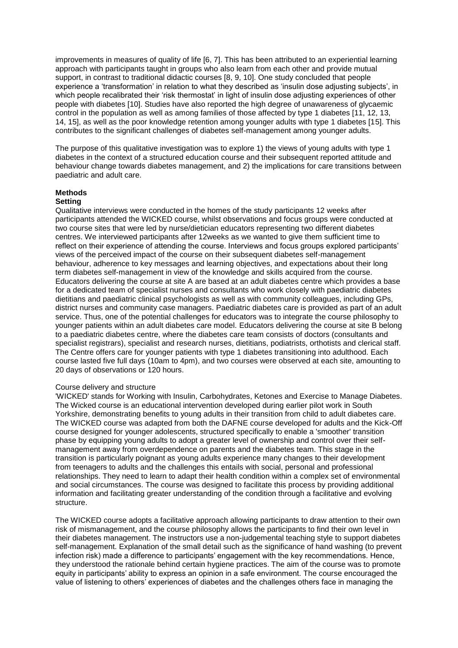improvements in measures of quality of life [6, 7]. This has been attributed to an experiential learning approach with participants taught in groups who also learn from each other and provide mutual support, in contrast to traditional didactic courses [8, 9, 10]. One study concluded that people experience a 'transformation' in relation to what they described as 'insulin dose adjusting subjects', in which people recalibrated their 'risk thermostat' in light of insulin dose adjusting experiences of other people with diabetes [10]. Studies have also reported the high degree of unawareness of glycaemic control in the population as well as among families of those affected by type 1 diabetes [11, 12, 13, 14, 15], as well as the poor knowledge retention among younger adults with type 1 diabetes [15]. This contributes to the significant challenges of diabetes self-management among younger adults.

The purpose of this qualitative investigation was to explore 1) the views of young adults with type 1 diabetes in the context of a structured education course and their subsequent reported attitude and behaviour change towards diabetes management, and 2) the implications for care transitions between paediatric and adult care.

### **Methods**

#### **Setting**

Qualitative interviews were conducted in the homes of the study participants 12 weeks after participants attended the WICKED course, whilst observations and focus groups were conducted at two course sites that were led by nurse/dietician educators representing two different diabetes centres. We interviewed participants after 12weeks as we wanted to give them sufficient time to reflect on their experience of attending the course. Interviews and focus groups explored participants' views of the perceived impact of the course on their subsequent diabetes self-management behaviour, adherence to key messages and learning objectives, and expectations about their long term diabetes self-management in view of the knowledge and skills acquired from the course. Educators delivering the course at site A are based at an adult diabetes centre which provides a base for a dedicated team of specialist nurses and consultants who work closely with paediatric diabetes dietitians and paediatric clinical psychologists as well as with community colleagues, including GPs, district nurses and community case managers. Paediatric diabetes care is provided as part of an adult service. Thus, one of the potential challenges for educators was to integrate the course philosophy to younger patients within an adult diabetes care model. Educators delivering the course at site B belong to a paediatric diabetes centre, where the diabetes care team consists of doctors (consultants and specialist registrars), specialist and research nurses, dietitians, podiatrists, orthotists and clerical staff. The Centre offers care for younger patients with type 1 diabetes transitioning into adulthood. Each course lasted five full days (10am to 4pm), and two courses were observed at each site, amounting to 20 days of observations or 120 hours.

### Course delivery and structure

'WICKED' stands for Working with Insulin, Carbohydrates, Ketones and Exercise to Manage Diabetes. The Wicked course is an educational intervention developed during earlier pilot work in South Yorkshire, demonstrating benefits to young adults in their transition from child to adult diabetes care. The WICKED course was adapted from both the DAFNE course developed for adults and the Kick-Off course designed for younger adolescents, structured specifically to enable a 'smoother' transition phase by equipping young adults to adopt a greater level of ownership and control over their selfmanagement away from overdependence on parents and the diabetes team. This stage in the transition is particularly poignant as young adults experience many changes to their development from teenagers to adults and the challenges this entails with social, personal and professional relationships. They need to learn to adapt their health condition within a complex set of environmental and social circumstances. The course was designed to facilitate this process by providing additional information and facilitating greater understanding of the condition through a facilitative and evolving structure.

The WICKED course adopts a facilitative approach allowing participants to draw attention to their own risk of mismanagement, and the course philosophy allows the participants to find their own level in their diabetes management. The instructors use a non-judgemental teaching style to support diabetes self-management. Explanation of the small detail such as the significance of hand washing (to prevent infection risk) made a difference to participants' engagement with the key recommendations. Hence, they understood the rationale behind certain hygiene practices. The aim of the course was to promote equity in participants' ability to express an opinion in a safe environment. The course encouraged the value of listening to others' experiences of diabetes and the challenges others face in managing the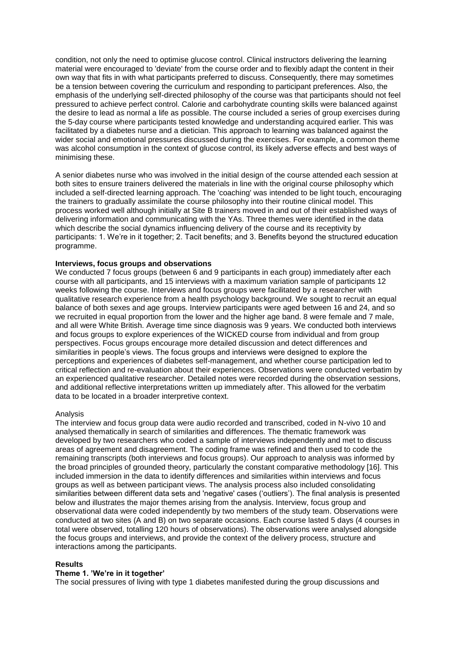condition, not only the need to optimise glucose control. Clinical instructors delivering the learning material were encouraged to 'deviate' from the course order and to flexibly adapt the content in their own way that fits in with what participants preferred to discuss. Consequently, there may sometimes be a tension between covering the curriculum and responding to participant preferences. Also, the emphasis of the underlying self-directed philosophy of the course was that participants should not feel pressured to achieve perfect control. Calorie and carbohydrate counting skills were balanced against the desire to lead as normal a life as possible. The course included a series of group exercises during the 5-day course where participants tested knowledge and understanding acquired earlier. This was facilitated by a diabetes nurse and a dietician. This approach to learning was balanced against the wider social and emotional pressures discussed during the exercises. For example, a common theme was alcohol consumption in the context of glucose control, its likely adverse effects and best ways of minimising these.

A senior diabetes nurse who was involved in the initial design of the course attended each session at both sites to ensure trainers delivered the materials in line with the original course philosophy which included a self-directed learning approach. The 'coaching' was intended to be light touch, encouraging the trainers to gradually assimilate the course philosophy into their routine clinical model. This process worked well although initially at Site B trainers moved in and out of their established ways of delivering information and communicating with the YAs. Three themes were identified in the data which describe the social dynamics influencing delivery of the course and its receptivity by participants: 1. We're in it together; 2. Tacit benefits; and 3. Benefits beyond the structured education programme.

### **Interviews, focus groups and observations**

We conducted 7 focus groups (between 6 and 9 participants in each group) immediately after each course with all participants, and 15 interviews with a maximum variation sample of participants 12 weeks following the course. Interviews and focus groups were facilitated by a researcher with qualitative research experience from a health psychology background. We sought to recruit an equal balance of both sexes and age groups. Interview participants were aged between 16 and 24, and so we recruited in equal proportion from the lower and the higher age band. 8 were female and 7 male, and all were White British. Average time since diagnosis was 9 years. We conducted both interviews and focus groups to explore experiences of the WICKED course from individual and from group perspectives. Focus groups encourage more detailed discussion and detect differences and similarities in people's views. The focus groups and interviews were designed to explore the perceptions and experiences of diabetes self-management, and whether course participation led to critical reflection and re-evaluation about their experiences. Observations were conducted verbatim by an experienced qualitative researcher. Detailed notes were recorded during the observation sessions, and additional reflective interpretations written up immediately after. This allowed for the verbatim data to be located in a broader interpretive context.

# Analysis

The interview and focus group data were audio recorded and transcribed, coded in N-vivo 10 and analysed thematically in search of similarities and differences. The thematic framework was developed by two researchers who coded a sample of interviews independently and met to discuss areas of agreement and disagreement. The coding frame was refined and then used to code the remaining transcripts (both interviews and focus groups). Our approach to analysis was informed by the broad principles of grounded theory, particularly the constant comparative methodology [16]. This included immersion in the data to identify differences and similarities within interviews and focus groups as well as between participant views. The analysis process also included consolidating similarities between different data sets and 'negative' cases ('outliers'). The final analysis is presented below and illustrates the major themes arising from the analysis. Interview, focus group and observational data were coded independently by two members of the study team. Observations were conducted at two sites (A and B) on two separate occasions. Each course lasted 5 days (4 courses in total were observed, totalling 120 hours of observations). The observations were analysed alongside the focus groups and interviews, and provide the context of the delivery process, structure and interactions among the participants.

# **Results**

#### **Theme 1. 'We're in it together'**

The social pressures of living with type 1 diabetes manifested during the group discussions and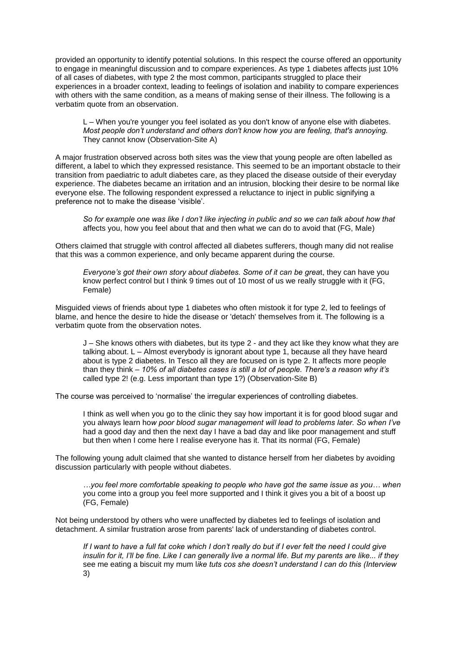provided an opportunity to identify potential solutions. In this respect the course offered an opportunity to engage in meaningful discussion and to compare experiences. As type 1 diabetes affects just 10% of all cases of diabetes, with type 2 the most common, participants struggled to place their experiences in a broader context, leading to feelings of isolation and inability to compare experiences with others with the same condition, as a means of making sense of their illness. The following is a verbatim quote from an observation.

L *–* When you're younger you feel isolated as you don't know of anyone else with diabetes. *Most people don't understand and others don't know how you are feeling, that's annoying.*  They cannot know (Observation-Site A)

A major frustration observed across both sites was the view that young people are often labelled as different, a label to which they expressed resistance. This seemed to be an important obstacle to their transition from paediatric to adult diabetes care, as they placed the disease outside of their everyday experience. The diabetes became an irritation and an intrusion, blocking their desire to be normal like everyone else. The following respondent expressed a reluctance to inject in public signifying a preference not to make the disease 'visible'.

*So for example one was like I don't like injecting in public and so we can talk about how that*  affects you, how you feel about that and then what we can do to avoid that (FG, Male)

Others claimed that struggle with control affected all diabetes sufferers, though many did not realise that this was a common experience, and only became apparent during the course.

*Everyone's got their own story about diabetes. Some of it can be grea*t, they can have you know perfect control but I think 9 times out of 10 most of us we really struggle with it (FG, Female)

Misguided views of friends about type 1 diabetes who often mistook it for type 2, led to feelings of blame, and hence the desire to hide the disease or 'detach' themselves from it. The following is a verbatim quote from the observation notes.

J *–* She knows others with diabetes, but its type 2 - and they act like they know what they are talking about. L *–* Almost everybody is ignorant about type 1, because all they have heard about is type 2 diabetes. In Tesco all they are focused on is type 2. It affects more people than they think *– 10% of all diabetes cases is still a lot of people. There's a reason why it's*  called type 2! (e.g. Less important than type 1?) (Observation-Site B)

The course was perceived to 'normalise' the irregular experiences of controlling diabetes.

 I think as well when you go to the clinic they say how important it is for good blood sugar and you always learn ho*w poor blood sugar management will lead to problems later. So when I've*  had a good day and then the next day I have a bad day and like poor management and stuff but then when I come here I realise everyone has it. That its normal (FG, Female)

The following young adult claimed that she wanted to distance herself from her diabetes by avoiding discussion particularly with people without diabetes.

*…you feel more comfortable speaking to people who have got the same issue as you… when*  you come into a group you feel more supported and I think it gives you a bit of a boost up (FG, Female)

Not being understood by others who were unaffected by diabetes led to feelings of isolation and detachment. A similar frustration arose from parents' lack of understanding of diabetes control.

*If I want to have a full fat coke which I don't really do but if I ever felt the need I could give insulin for it, I'll be fine. Like I can generally live a normal life. But my parents are like... if they*  see me eating a biscuit my mum l*ike tuts cos she doesn't understand I can do this (Interview*  3)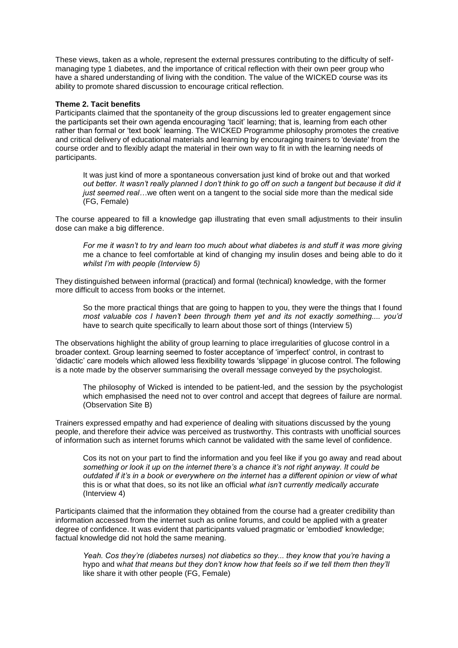These views, taken as a whole, represent the external pressures contributing to the difficulty of selfmanaging type 1 diabetes, and the importance of critical reflection with their own peer group who have a shared understanding of living with the condition. The value of the WICKED course was its ability to promote shared discussion to encourage critical reflection.

## **Theme 2. Tacit benefits**

Participants claimed that the spontaneity of the group discussions led to greater engagement since the participants set their own agenda encouraging 'tacit' learning; that is, learning from each other rather than formal or 'text book' learning. The WICKED Programme philosophy promotes the creative and critical delivery of educational materials and learning by encouraging trainers to 'deviate' from the course order and to flexibly adapt the material in their own way to fit in with the learning needs of participants.

It was just kind of more a spontaneous conversation just kind of broke out and that worked *out better. It wasn't really planned I don't think to go off on such a tangent but because it did it just seemed real...* we often went on a tangent to the social side more than the medical side (FG, Female)

The course appeared to fill a knowledge gap illustrating that even small adjustments to their insulin dose can make a big difference.

*For me it wasn't to try and learn too much about what diabetes is and stuff it was more giving*  me a chance to feel comfortable at kind of changing my insulin doses and being able to do it *whilst I'm with people (Interview 5)*

They distinguished between informal (practical) and formal (technical) knowledge, with the former more difficult to access from books or the internet.

 So the more practical things that are going to happen to you, they were the things that I found *most valuable cos I haven't been through them yet and its not exactly something.... you'd*  have to search quite specifically to learn about those sort of things (Interview 5)

The observations highlight the ability of group learning to place irregularities of glucose control in a broader context. Group learning seemed to foster acceptance of 'imperfect' control, in contrast to 'didactic' care models which allowed less flexibility towards 'slippage' in glucose control. The following is a note made by the observer summarising the overall message conveyed by the psychologist.

 The philosophy of Wicked is intended to be patient-led, and the session by the psychologist which emphasised the need not to over control and accept that degrees of failure are normal. (Observation Site B)

Trainers expressed empathy and had experience of dealing with situations discussed by the young people, and therefore their advice was perceived as trustworthy. This contrasts with unofficial sources of information such as internet forums which cannot be validated with the same level of confidence.

Cos its not on your part to find the information and you feel like if you go away and read about *something or look it up on the internet there's a chance it's not right anyway. It could be outdated if it's in a book or everywhere on the internet has a different opinion or view of what*  this is or what that does, so its not like an official *what isn't currently medically accurate*  (Interview 4)

Participants claimed that the information they obtained from the course had a greater credibility than information accessed from the internet such as online forums, and could be applied with a greater degree of confidence. It was evident that participants valued pragmatic or 'embodied' knowledge; factual knowledge did not hold the same meaning.

*Yeah. Cos they're (diabetes nurses) not diabetics so they... they know that you're having a*  hypo and w*hat that means but they don't know how that feels so if we tell them then they'll*  like share it with other people (FG, Female)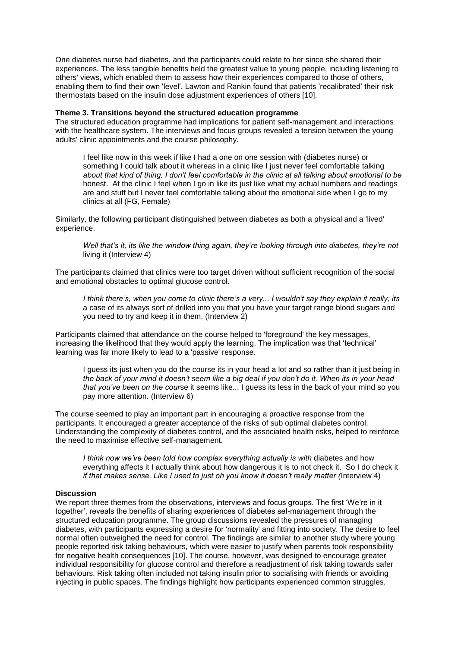One diabetes nurse had diabetes, and the participants could relate to her since she shared their experiences. The less tangible benefits held the greatest value to young people, including listening to others' views, which enabled them to assess how their experiences compared to those of others, enabling them to find their own 'level'. Lawton and Rankin found that patients 'recalibrated' their risk thermostats based on the insulin dose adjustment experiences of others [10].

## **Theme 3. Transitions beyond the structured education programme**

The structured education programme had implications for patient self-management and interactions with the healthcare system. The interviews and focus groups revealed a tension between the young adults' clinic appointments and the course philosophy.

I feel like now in this week if like I had a one on one session with (diabetes nurse) or something I could talk about it whereas in a clinic like I just never feel comfortable talking *about that kind of thing. I don't feel comfortable in the clinic at all talking about emotional to be*  honest. At the clinic I feel when I go in like its just like what my actual numbers and readings are and stuff but I never feel comfortable talking about the emotional side when I go to my clinics at all (FG, Female)

Similarly, the following participant distinguished between diabetes as both a physical and a 'lived' experience.

*Well that's it, its like the window thing again, they're looking through into diabetes, they're not*  living it (Interview 4)

The participants claimed that clinics were too target driven without sufficient recognition of the social and emotional obstacles to optimal glucose control.

*I think there's, when you come to clinic there's a very... I wouldn't say they explain it really, its*  a case of its always sort of drilled into you that you have your target range blood sugars and you need to try and keep it in them. (Interview 2)

Participants claimed that attendance on the course helped to 'foreground' the key messages, increasing the likelihood that they would apply the learning. The implication was that 'technical' learning was far more likely to lead to a 'passive' response.

 I guess its just when you do the course its in your head a lot and so rather than it just being in *the back of your mind it doesn't seem like a big deal if you don't do it. When its in your head that you've been on the cour*se it seems like... I guess its less in the back of your mind so you pay more attention. (Interview 6)

The course seemed to play an important part in encouraging a proactive response from the participants. It encouraged a greater acceptance of the risks of sub optimal diabetes control. Understanding the complexity of diabetes control, and the associated health risks, helped to reinforce the need to maximise effective self-management.

*I think now we've been told how complex everything actually is with diabetes and how* everything affects it I actually think about how dangerous it is to not check it. So I do check it *if that makes sense. Like I used to just oh you know it doesn't really matter (*Interview 4)

#### **Discussion**

We report three themes from the observations, interviews and focus groups. The first 'We're in it together', reveals the benefits of sharing experiences of diabetes sel-management through the structured education programme. The group discussions revealed the pressures of managing diabetes, with participants expressing a desire for 'normality' and fitting into society. The desire to feel normal often outweighed the need for control. The findings are similar to another study where young people reported risk taking behaviours, which were easier to justify when parents took responsibility for negative health consequences [10]. The course, however, was designed to encourage greater individual responsibility for glucose control and therefore a readjustment of risk taking towards safer behaviours. Risk taking often included not taking insulin prior to socialising with friends or avoiding injecting in public spaces. The findings highlight how participants experienced common struggles,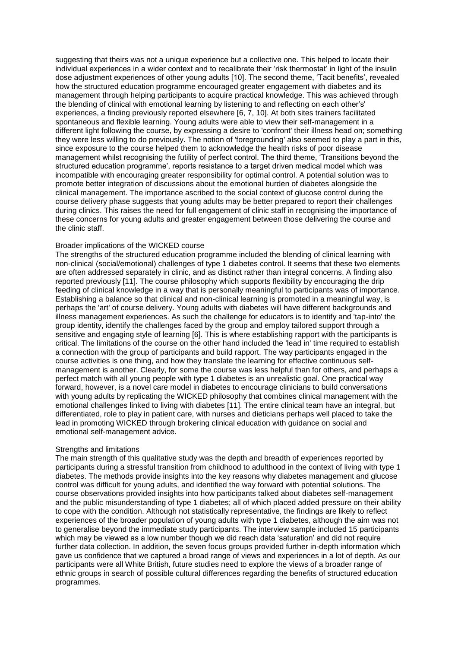suggesting that theirs was not a unique experience but a collective one. This helped to locate their individual experiences in a wider context and to recalibrate their 'risk thermostat' in light of the insulin dose adjustment experiences of other young adults [10]. The second theme, 'Tacit benefits', revealed how the structured education programme encouraged greater engagement with diabetes and its management through helping participants to acquire practical knowledge. This was achieved through the blending of clinical with emotional learning by listening to and reflecting on each other's' experiences, a finding previously reported elsewhere [6, 7, 10]. At both sites trainers facilitated spontaneous and flexible learning. Young adults were able to view their self-management in a different light following the course, by expressing a desire to 'confront' their illness head on; something they were less willing to do previously. The notion of 'foregrounding' also seemed to play a part in this, since exposure to the course helped them to acknowledge the health risks of poor disease management whilst recognising the futility of perfect control. The third theme, 'Transitions beyond the structured education programme', reports resistance to a target driven medical model which was incompatible with encouraging greater responsibility for optimal control. A potential solution was to promote better integration of discussions about the emotional burden of diabetes alongside the clinical management. The importance ascribed to the social context of glucose control during the course delivery phase suggests that young adults may be better prepared to report their challenges during clinics. This raises the need for full engagement of clinic staff in recognising the importance of these concerns for young adults and greater engagement between those delivering the course and the clinic staff.

### Broader implications of the WICKED course

The strengths of the structured education programme included the blending of clinical learning with non-clinical (social/emotional) challenges of type 1 diabetes control. It seems that these two elements are often addressed separately in clinic, and as distinct rather than integral concerns. A finding also reported previously [11]. The course philosophy which supports flexibility by encouraging the drip feeding of clinical knowledge in a way that is personally meaningful to participants was of importance. Establishing a balance so that clinical and non-clinical learning is promoted in a meaningful way, is perhaps the 'art' of course delivery. Young adults with diabetes will have different backgrounds and illness management experiences. As such the challenge for educators is to identify and 'tap-into' the group identity, identify the challenges faced by the group and employ tailored support through a sensitive and engaging style of learning [6]. This is where establishing rapport with the participants is critical. The limitations of the course on the other hand included the 'lead in' time required to establish a connection with the group of participants and build rapport. The way participants engaged in the course activities is one thing, and how they translate the learning for effective continuous selfmanagement is another. Clearly, for some the course was less helpful than for others, and perhaps a perfect match with all young people with type 1 diabetes is an unrealistic goal. One practical way forward, however, is a novel care model in diabetes to encourage clinicians to build conversations with young adults by replicating the WICKED philosophy that combines clinical management with the emotional challenges linked to living with diabetes [11]. The entire clinical team have an integral, but differentiated, role to play in patient care, with nurses and dieticians perhaps well placed to take the lead in promoting WICKED through brokering clinical education with guidance on social and emotional self-management advice.

### Strengths and limitations

The main strength of this qualitative study was the depth and breadth of experiences reported by participants during a stressful transition from childhood to adulthood in the context of living with type 1 diabetes. The methods provide insights into the key reasons why diabetes management and glucose control was difficult for young adults, and identified the way forward with potential solutions. The course observations provided insights into how participants talked about diabetes self-management and the public misunderstanding of type 1 diabetes; all of which placed added pressure on their ability to cope with the condition. Although not statistically representative, the findings are likely to reflect experiences of the broader population of young adults with type 1 diabetes, although the aim was not to generalise beyond the immediate study participants. The interview sample included 15 participants which may be viewed as a low number though we did reach data 'saturation' and did not require further data collection. In addition, the seven focus groups provided further in-depth information which gave us confidence that we captured a broad range of views and experiences in a lot of depth. As our participants were all White British, future studies need to explore the views of a broader range of ethnic groups in search of possible cultural differences regarding the benefits of structured education programmes.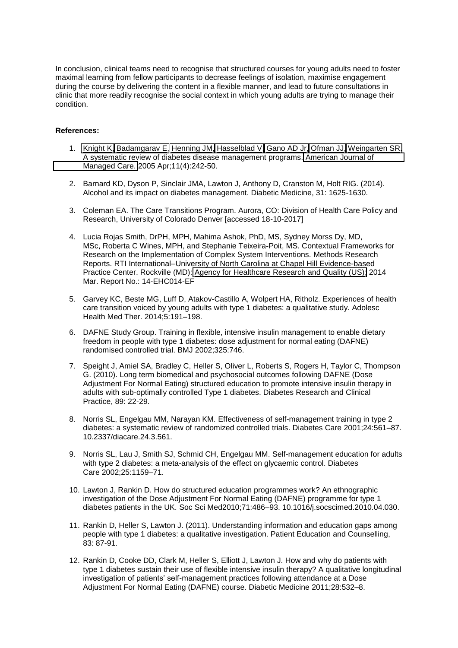In conclusion, clinical teams need to recognise that structured courses for young adults need to foster maximal learning from fellow participants to decrease feelings of isolation, maximise engagement during the course by delivering the content in a flexible manner, and lead to future consultations in clinic that more readily recognise the social context in which young adults are trying to manage their condition.

# **References:**

- 1. [Knight K,](https://www.ncbi.nlm.nih.gov/pubmed/?term=Knight%20K%5BAuthor%5D&cauthor=true&cauthor_uid=15839184) [Badamgarav E,](https://www.ncbi.nlm.nih.gov/pubmed/?term=Badamgarav%20E%5BAuthor%5D&cauthor=true&cauthor_uid=15839184) [Henning JM,](https://www.ncbi.nlm.nih.gov/pubmed/?term=Henning%20JM%5BAuthor%5D&cauthor=true&cauthor_uid=15839184) [Hasselblad V,](https://www.ncbi.nlm.nih.gov/pubmed/?term=Hasselblad%20V%5BAuthor%5D&cauthor=true&cauthor_uid=15839184) [Gano AD Jr,](https://www.ncbi.nlm.nih.gov/pubmed/?term=Gano%20AD%20Jr%5BAuthor%5D&cauthor=true&cauthor_uid=15839184) [Ofman JJ,](https://www.ncbi.nlm.nih.gov/pubmed/?term=Ofman%20JJ%5BAuthor%5D&cauthor=true&cauthor_uid=15839184) [Weingarten SR.](https://www.ncbi.nlm.nih.gov/pubmed/?term=Weingarten%20SR%5BAuthor%5D&cauthor=true&cauthor_uid=15839184) A systematic review of diabetes disease management programs. [American Journal of](https://www.ncbi.nlm.nih.gov/pubmed/15839184)  [Managed Care.](https://www.ncbi.nlm.nih.gov/pubmed/15839184) 2005 Apr;11(4):242-50.
- 2. Barnard KD, Dyson P, Sinclair JMA, Lawton J, Anthony D, Cranston M, Holt RIG. (2014). Alcohol and its impact on diabetes management. Diabetic Medicine, 31: 1625-1630.
- 3. Coleman EA. The Care Transitions Program. Aurora, CO: Division of Health Care Policy and Research, University of Colorado Denver [accessed 18-10-2017]
- 4. Lucia Rojas Smith, DrPH, MPH, Mahima Ashok, PhD, MS, Sydney Morss Dy, MD, MSc, Roberta C Wines, MPH, and Stephanie Teixeira-Poit, MS. Contextual Frameworks for Research on the Implementation of Complex System Interventions. Methods Research Reports. RTI International–University of North Carolina at Chapel Hill Evidence-based Practice Center. Rockville (MD): [Agency for Healthcare Research and Quality \(US\);](https://effectivehealthcare.ahrq.gov/) 2014 Mar. Report No.: 14-EHC014-EF
- 5. Garvey KC, Beste MG, Luff D, Atakov-Castillo A, Wolpert HA, Ritholz. Experiences of health care transition voiced by young adults with type 1 diabetes: a qualitative study. Adolesc Health Med Ther. 2014;5:191–198.
- 6. DAFNE Study Group. Training in flexible, intensive insulin management to enable dietary freedom in people with type 1 diabetes: dose adjustment for normal eating (DAFNE) randomised controlled trial. BMJ 2002;325:746.
- 7. Speight J, Amiel SA, Bradley C, Heller S, Oliver L, Roberts S, Rogers H, Taylor C, Thompson G. (2010). Long term biomedical and psychosocial outcomes following DAFNE (Dose Adjustment For Normal Eating) structured education to promote intensive insulin therapy in adults with sub-optimally controlled Type 1 diabetes. Diabetes Research and Clinical Practice, 89: 22-29.
- 8. Norris SL, Engelgau MM, Narayan KM. Effectiveness of self-management training in type 2 diabetes: a systematic review of randomized controlled trials. Diabetes Care 2001;24:561–87. 10.2337/diacare.24.3.561.
- 9. Norris SL, Lau J, Smith SJ, Schmid CH, Engelgau MM. Self-management education for adults with type 2 diabetes: a meta-analysis of the effect on glycaemic control. Diabetes Care 2002;25:1159–71.
- 10. Lawton J, Rankin D. How do structured education programmes work? An ethnographic investigation of the Dose Adjustment For Normal Eating (DAFNE) programme for type 1 diabetes patients in the UK. Soc Sci Med2010;71:486–93. 10.1016/j.socscimed.2010.04.030.
- 11. Rankin D, Heller S, Lawton J. (2011). Understanding information and education gaps among people with type 1 diabetes: a qualitative investigation. Patient Education and Counselling, 83: 87-91.
- 12. Rankin D, Cooke DD, Clark M, Heller S, Elliott J, Lawton J. How and why do patients with type 1 diabetes sustain their use of flexible intensive insulin therapy? A qualitative longitudinal investigation of patients' self-management practices following attendance at a Dose Adjustment For Normal Eating (DAFNE) course. Diabetic Medicine 2011;28:532–8.